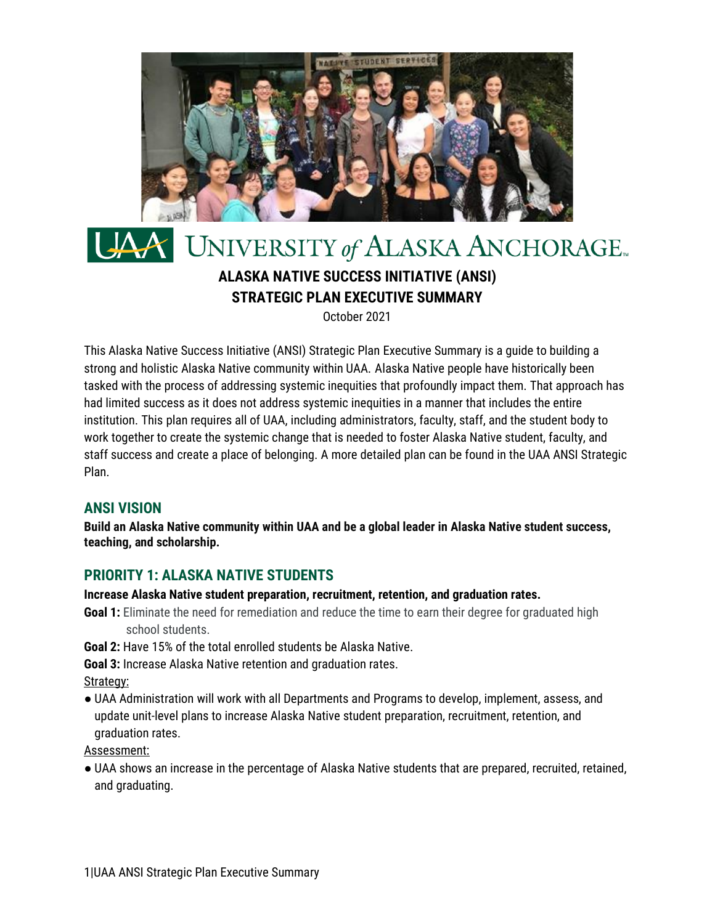

# UNIVERSITY of ALASKA ANCHORAGE.

# **ALASKA NATIVE SUCCESS INITIATIVE (ANSI) STRATEGIC PLAN EXECUTIVE SUMMARY**

October 2021

This Alaska Native Success Initiative (ANSI) Strategic Plan Executive Summary is a guide to building a strong and holistic Alaska Native community within UAA. Alaska Native people have historically been tasked with the process of addressing systemic inequities that profoundly impact them. That approach has had limited success as it does not address systemic inequities in a manner that includes the entire institution. This plan requires all of UAA, including administrators, faculty, staff, and the student body to work together to create the systemic change that is needed to foster Alaska Native student, faculty, and staff success and create a place of belonging. A more detailed plan can be found in the UAA ANSI Strategic Plan.

#### **ANSI VISION**

**Build an Alaska Native community within UAA and be a global leader in Alaska Native student success, teaching, and scholarship.**

#### **PRIORITY 1: ALASKA NATIVE STUDENTS**

**Increase Alaska Native student preparation, recruitment, retention, and graduation rates.**

- **Goal 1:** Eliminate the need for remediation and reduce the time to earn their degree for graduated high school students.
- **Goal 2:** Have 15% of the total enrolled students be Alaska Native.

**Goal 3:** Increase Alaska Native retention and graduation rates.

Strategy:

● UAA Administration will work with all Departments and Programs to develop, implement, assess, and update unit-level plans to increase Alaska Native student preparation, recruitment, retention, and graduation rates.

Assessment:

● UAA shows an increase in the percentage of Alaska Native students that are prepared, recruited, retained, and graduating.